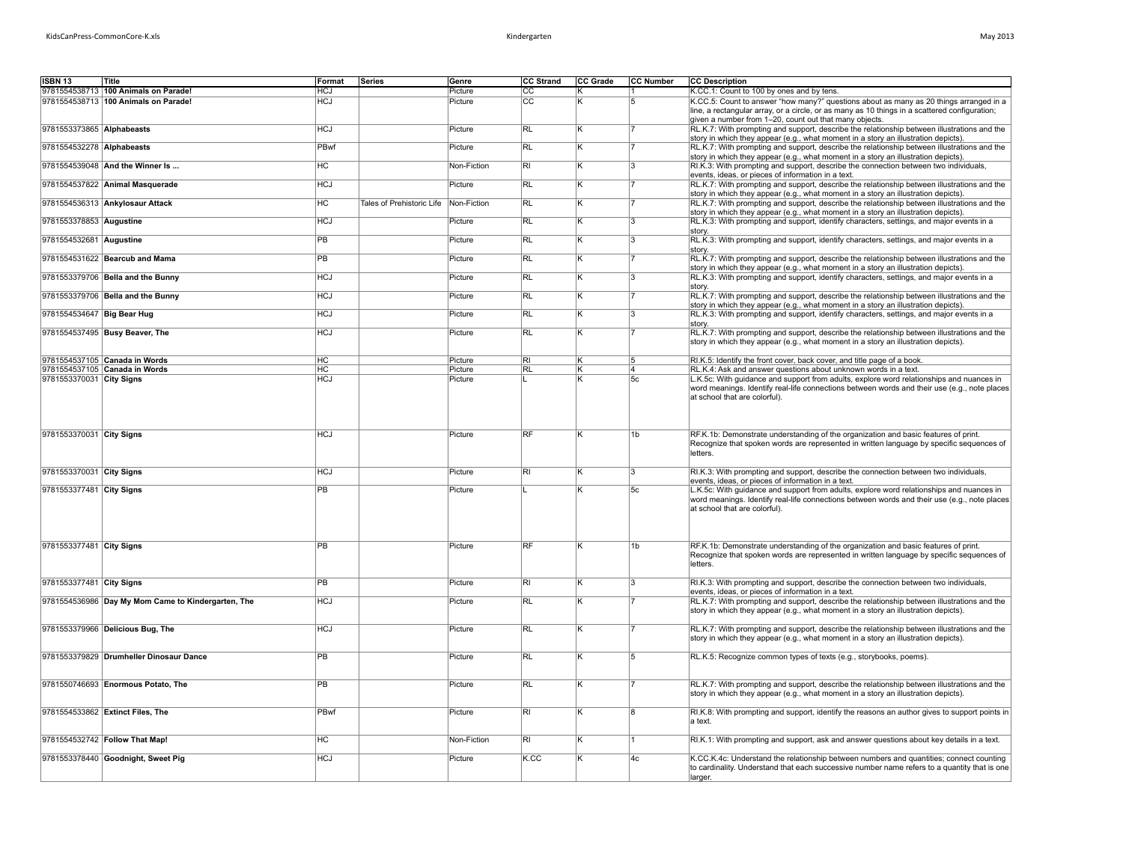| May 2013 |  |
|----------|--|
|----------|--|

| <b>ISBN 13</b>             | Title                                              | Format          | Series                    | Genre       | <b>CC Strand</b>             | <b>CC Grade</b> | <b>CC Number</b>        | <b>CC Description</b>                                                                                                                                                                                                                             |
|----------------------------|----------------------------------------------------|-----------------|---------------------------|-------------|------------------------------|-----------------|-------------------------|---------------------------------------------------------------------------------------------------------------------------------------------------------------------------------------------------------------------------------------------------|
|                            | 9781554538713 100 Animals on Parade!               | <b>HCJ</b>      |                           | Picture     | <b>CC</b><br>$\overline{cc}$ |                 |                         | K.CC.1: Count to 100 by ones and by tens.                                                                                                                                                                                                         |
|                            | 9781554538713 100 Animals on Parade!               | <b>HCJ</b>      |                           | Picture     |                              |                 | 5                       | K.CC.5: Count to answer "how many?" questions about as many as 20 things arranged in a<br>line, a rectangular array, or a circle, or as many as 10 things in a scattered configuration;<br>given a number from 1-20, count out that many objects. |
| 9781553373865 Alphabeasts  |                                                    | <b>HCJ</b>      |                           | Picture     | <b>RL</b>                    | κ               |                         | RL.K.7: With prompting and support, describe the relationship between illustrations and the<br>story in which they appear (e.g., what moment in a story an illustration depicts).                                                                 |
| 9781554532278 Alphabeasts  |                                                    | PBwf            |                           | Picture     | RL                           |                 |                         | RL.K.7: With prompting and support, describe the relationship between illustrations and the<br>story in which they appear (e.g., what moment in a story an illustration depicts).                                                                 |
|                            | 9781554539048 And the Winner Is                    | HC              |                           | Non-Fiction | $\overline{\mathsf{R}}$      | K               | $\overline{\mathbf{z}}$ | RI.K.3: With prompting and support, describe the connection between two individuals,<br>events, ideas, or pieces of information in a text.                                                                                                        |
|                            | 9781554537822 Animal Masquerade                    | <b>HCJ</b>      |                           | Picture     | <b>RL</b>                    | ĸ               |                         | RL.K.7: With prompting and support, describe the relationship between illustrations and the<br>story in which they appear (e.g., what moment in a story an illustration depicts).                                                                 |
|                            | 9781554536313 Ankylosaur Attack                    | HC              | Tales of Prehistoric Life | Non-Fiction | <b>RL</b>                    | K               |                         | RL.K.7: With prompting and support, describe the relationship between illustrations and the<br>story in which they appear (e.g., what moment in a story an illustration depicts).                                                                 |
| 9781553378853 Augustine    |                                                    | <b>HCJ</b>      |                           | Picture     | $\overline{R}$               | ĸ               | I٩                      | RL.K.3: With prompting and support, identify characters, settings, and major events in a<br>story.                                                                                                                                                |
| 9781554532681 Augustine    |                                                    | $\overline{PB}$ |                           | Picture     | <b>RL</b>                    |                 | 3                       | RL.K.3: With prompting and support, identify characters, settings, and major events in a<br>story.                                                                                                                                                |
|                            | 9781554531622 Bearcub and Mama                     | PB              |                           | Picture     | <b>RL</b>                    | ĸ               |                         | RL.K.7: With prompting and support, describe the relationship between illustrations and the<br>story in which they appear (e.g., what moment in a story an illustration depicts).                                                                 |
|                            | 9781553379706 Bella and the Bunny                  | <b>HCJ</b>      |                           | Picture     | RL                           |                 | 3                       | RL.K.3: With prompting and support, identify characters, settings, and major events in a<br>story.                                                                                                                                                |
|                            | 9781553379706 Bella and the Bunny                  | <b>HCJ</b>      |                           | Picture     | <b>RL</b>                    | κ               |                         | RL.K.7: With prompting and support, describe the relationship between illustrations and the<br>story in which they appear (e.g., what moment in a story an illustration depicts).                                                                 |
| 9781554534647 Big Bear Hug |                                                    | <b>HCJ</b>      |                           | Picture     | <b>RL</b>                    | ĸ               | 3                       | RL.K.3: With prompting and support, identify characters, settings, and major events in a<br>story.                                                                                                                                                |
|                            | 9781554537495 Busy Beaver, The                     | <b>HCJ</b>      |                           | Picture     | RL                           | Κ               |                         | RL.K.7: With prompting and support, describe the relationship between illustrations and the<br>story in which they appear (e.g., what moment in a story an illustration depicts).                                                                 |
|                            | 9781554537105 Canada in Words                      | HC              |                           | Picture     | RI                           |                 | 5                       | RI.K.5: Identify the front cover, back cover, and title page of a book                                                                                                                                                                            |
|                            | 9781554537105 Canada in Words                      | <b>HC</b>       |                           | Picture     | RL                           | ΙK              | 14                      | RL.K.4: Ask and answer questions about unknown words in a text.                                                                                                                                                                                   |
| 9781553370031 City Signs   |                                                    | <b>HCJ</b>      |                           | Picture     |                              | K               | 5c                      | L.K.5c: With guidance and support from adults, explore word relationships and nuances in<br>word meanings. Identify real-life connections between words and their use (e.g., note places<br>at school that are colorful).                         |
| 9781553370031 City Signs   |                                                    | <b>HCJ</b>      |                           | Picture     | RF                           | ĸ               | 1b                      | RF.K.1b: Demonstrate understanding of the organization and basic features of print.<br>Recognize that spoken words are represented in written language by specific sequences of<br>letters.                                                       |
| 9781553370031 City Signs   |                                                    | <b>HCJ</b>      |                           | Picture     | RI.                          | K               | 3                       | RI.K.3: With prompting and support, describe the connection between two individuals,                                                                                                                                                              |
| 9781553377481 City Signs   |                                                    | PB              |                           | Picture     |                              |                 | 5c                      | events, ideas, or pieces of information in a text.<br>L.K.5c: With quidance and support from adults, explore word relationships and nuances in                                                                                                    |
|                            |                                                    |                 |                           |             |                              |                 |                         | word meanings. Identify real-life connections between words and their use (e.g., note places<br>at school that are colorful).                                                                                                                     |
| 9781553377481 City Signs   |                                                    | PB              |                           | Picture     | RF                           |                 | 1b                      | RF.K.1b: Demonstrate understanding of the organization and basic features of print.<br>Recognize that spoken words are represented in written language by specific sequences of<br>letters.                                                       |
| 9781553377481 City Signs   |                                                    | PB              |                           | Picture     | RI                           | K               | 3                       | RI.K.3: With prompting and support, describe the connection between two individuals,<br>events, ideas, or pieces of information in a text.                                                                                                        |
|                            | 9781554536986 Day My Mom Came to Kindergarten, The | <b>HCJ</b>      |                           | Picture     | RL                           | ĸ               |                         | RL.K.7: With prompting and support, describe the relationship between illustrations and the<br>story in which they appear (e.g., what moment in a story an illustration depicts).                                                                 |
|                            | 9781553379966 Delicious Bug, The                   | <b>HCJ</b>      |                           | Picture     | <b>RL</b>                    | K               |                         | RL.K.7: With prompting and support, describe the relationship between illustrations and the<br>story in which they appear (e.g., what moment in a story an illustration depicts).                                                                 |
|                            | 9781553379829 Drumheller Dinosaur Dance            | <b>PB</b>       |                           | Picture     | <b>RL</b>                    | K               | 5                       | RL.K.5: Recognize common types of texts (e.g., storybooks, poems).                                                                                                                                                                                |
|                            | 9781550746693 Enormous Potato, The                 | PB              |                           | Picture     | $\overline{RL}$              |                 |                         | RL.K.7: With prompting and support, describe the relationship between illustrations and the<br>story in which they appear (e.g., what moment in a story an illustration depicts).                                                                 |
|                            | 9781554533862 Extinct Files, The                   | PBwf            |                           | Picture     | RI.                          | ĸ               | R.                      | RI.K.8: With prompting and support, identify the reasons an author gives to support points in<br>a text.                                                                                                                                          |
|                            | 9781554532742 Follow That Map!                     | НC              |                           | Non-Fiction | RI.                          | ĸ               |                         | RI.K.1: With prompting and support, ask and answer questions about key details in a text.                                                                                                                                                         |
|                            | 9781553378440 Goodnight, Sweet Pig                 | <b>HCJ</b>      |                           | Picture     | K.CC                         | ĸ               | 4c                      | K.CC.K.4c: Understand the relationship between numbers and quantities; connect counting<br>to cardinality. Understand that each successive number name refers to a quantity that is one                                                           |
|                            |                                                    |                 |                           |             |                              |                 |                         | larger.                                                                                                                                                                                                                                           |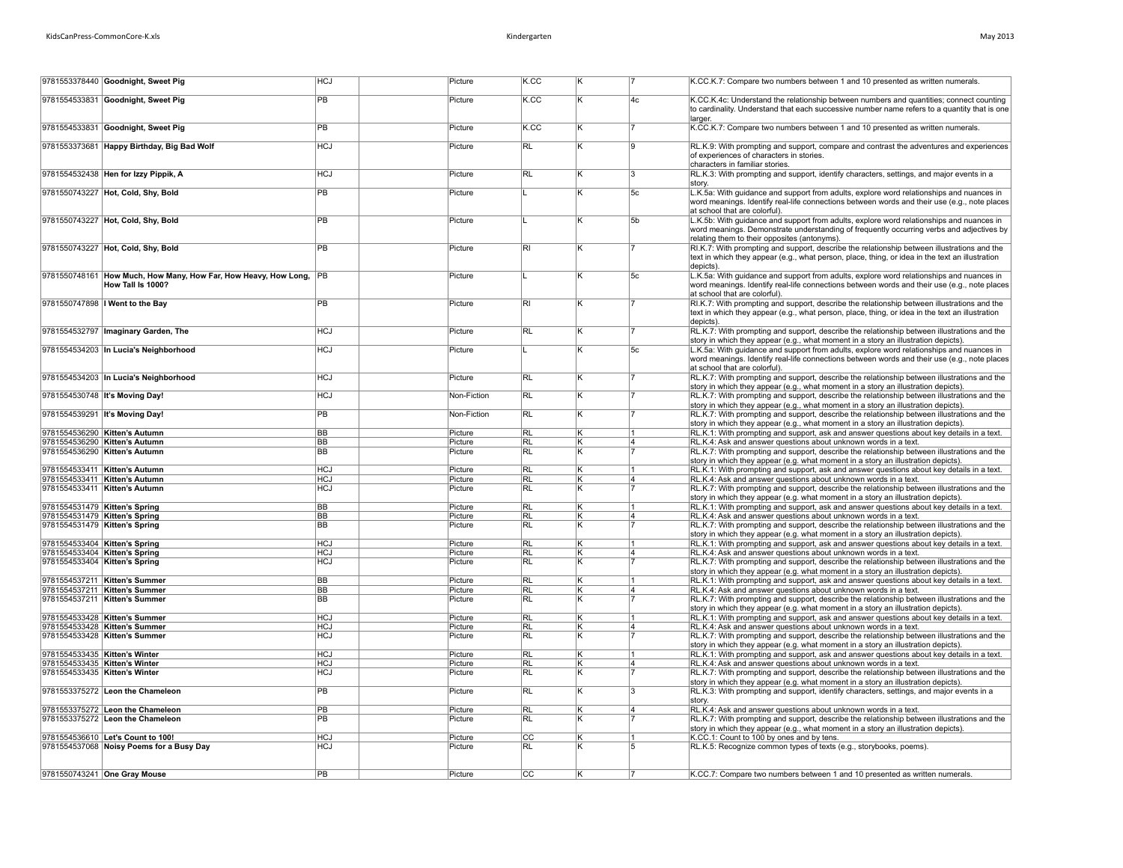| Mav 2013 |  |
|----------|--|
|----------|--|

|                                                                | 9781553378440 Goodnight, Sweet Pig                                                      | <b>HCJ</b>      | Picture            | K.CC            |   |                | K.CC.K.7: Compare two numbers between 1 and 10 presented as written numerals.                                                                                                                                                        |
|----------------------------------------------------------------|-----------------------------------------------------------------------------------------|-----------------|--------------------|-----------------|---|----------------|--------------------------------------------------------------------------------------------------------------------------------------------------------------------------------------------------------------------------------------|
|                                                                | 9781554533831 Goodnight, Sweet Pig                                                      | $\overline{PB}$ | Picture            | K.CC            | ĸ | 4 <sub>c</sub> | K.CC.K.4c: Understand the relationship between numbers and quantities; connect counting<br>to cardinality. Understand that each successive number name refers to a quantity that is one<br>larger                                    |
|                                                                | 9781554533831 Goodnight, Sweet Pig                                                      | PB              | Picture            | K.CC            | K | 17             | K.CC.K.7: Compare two numbers between 1 and 10 presented as written numerals.                                                                                                                                                        |
|                                                                | 9781553373681 Happy Birthday, Big Bad Wolf                                              | <b>HCJ</b>      | Picture            | RL              | κ | 9              | RL.K.9: With prompting and support, compare and contrast the adventures and experiences<br>of experiences of characters in stories.<br>characters in familiar stories.                                                               |
|                                                                | 9781554532438 Hen for Izzy Pippik, A                                                    | <b>HCJ</b>      | Picture            | RL              | ĸ | $ _{3}$        | RL.K.3: With prompting and support, identify characters, settings, and major events in a<br>story.                                                                                                                                   |
|                                                                | 9781550743227 Hot, Cold, Shy, Bold                                                      | PB              | Picture            |                 | ĸ | 5c             | L.K.5a: With guidance and support from adults, explore word relationships and nuances in<br>word meanings. Identify real-life connections between words and their use (e.g., note places<br>at school that are colorful).            |
|                                                                | 9781550743227 Hot, Cold, Shy, Bold                                                      | PB              | Picture            |                 | κ | 5b             | L.K.5b: With guidance and support from adults, explore word relationships and nuances in<br>word meanings. Demonstrate understanding of frequently occurring verbs and adjectives by<br>relating them to their opposites (antonyms). |
|                                                                | 9781550743227 Hot, Cold, Shy, Bold                                                      | <b>PB</b>       | Picture            | <b>RI</b>       | ĸ |                | RI.K.7: With prompting and support, describe the relationship between illustrations and the<br>text in which they appear (e.g., what person, place, thing, or idea in the text an illustration<br>depicts).                          |
|                                                                | 9781550748161 How Much, How Many, How Far, How Heavy, How Long, PB<br>How Tall Is 1000? |                 | Picture            |                 | κ | 5c             | L.K.5a: With guidance and support from adults, explore word relationships and nuances in<br>word meanings. Identify real-life connections between words and their use (e.g., note places<br>at school that are colorful).            |
|                                                                | 9781550747898   Went to the Bay                                                         | $\overline{PB}$ | Picture            | $\overline{R}$  | ĸ |                | RI.K.7: With prompting and support, describe the relationship between illustrations and the<br>text in which they appear (e.g., what person, place, thing, or idea in the text an illustration<br>depicts)                           |
|                                                                | 9781554532797   Imaginary Garden, The                                                   | HCJ             | Picture            | RL              | κ |                | RL.K.7: With prompting and support, describe the relationship between illustrations and the<br>story in which they appear (e.g., what moment in a story an illustration depicts).                                                    |
|                                                                | 9781554534203 In Lucia's Neighborhood                                                   | HCJ             | Picture            |                 | ĸ | 5c             | L.K.5a: With guidance and support from adults, explore word relationships and nuances in<br>word meanings. Identify real-life connections between words and their use (e.g., note places<br>at school that are colorful).            |
|                                                                | 9781554534203 In Lucia's Neighborhood                                                   | HCJ             | Picture            | <b>RL</b>       | Κ | 17             | RL.K.7: With prompting and support, describe the relationship between illustrations and the<br>story in which they appear (e.g., what moment in a story an illustration depicts).                                                    |
|                                                                | 9781554530748 It's Moving Day!                                                          | <b>HCJ</b>      | Non-Fiction        | RL              | K | 17             | RL.K.7: With prompting and support, describe the relationship between illustrations and the<br>story in which they appear (e.g., what moment in a story an illustration depicts).                                                    |
|                                                                | 9781554539291 It's Moving Day!                                                          | PB              | Non-Fiction        | RL              | ĸ | 17             | RL.K.7: With prompting and support, describe the relationship between illustrations and the<br>story in which they appear (e.g., what moment in a story an illustration depicts).                                                    |
|                                                                | 9781554536290 Kitten's Autumn                                                           | <b>BB</b>       | Picture            | RL              | ĸ | 11             | RL.K.1: With prompting and support, ask and answer questions about key details in a text.                                                                                                                                            |
|                                                                | 9781554536290 Kitten's Autumn                                                           | BB              | Picture            | <b>RL</b>       | K | 14             | RL.K.4: Ask and answer questions about unknown words in a text.                                                                                                                                                                      |
|                                                                | 9781554536290 Kitten's Autumn                                                           | <b>BB</b>       | Picture            | <b>RL</b>       | κ | 17             | RL.K.7: With prompting and support, describe the relationship between illustrations and the<br>story in which they appear (e.g. what moment in a story an illustration depicts).                                                     |
|                                                                | 9781554533411 Kitten's Autumn                                                           | <b>HCJ</b>      | Picture            | RL              | Κ |                | RL.K.1: With prompting and support, ask and answer questions about key details in a text.                                                                                                                                            |
|                                                                | 9781554533411 Kitten's Autumn                                                           | HCJ             | Picture            | <b>RL</b>       | κ | 4              | RL.K.4: Ask and answer questions about unknown words in a text.                                                                                                                                                                      |
|                                                                | 9781554533411 Kitten's Autumn                                                           | <b>HCJ</b>      | Picture            | <b>RL</b>       |   |                | RL.K.7: With prompting and support, describe the relationship between illustrations and the<br>story in which they appear (e.g. what moment in a story an illustration depicts).                                                     |
| 9781554531479 Kitten's Spring                                  |                                                                                         | <b>BB</b>       | Picture            | <b>RL</b>       | K |                | RL.K.1: With prompting and support, ask and answer questions about key details in a text.                                                                                                                                            |
| 9781554531479 Kitten's Spring<br>9781554531479 Kitten's Spring |                                                                                         | BB<br>BB        | Picture<br>Picture | RL<br><b>RL</b> | ĸ | 4              | RL.K.4: Ask and answer questions about unknown words in a text.<br>RL.K.7: With prompting and support, describe the relationship between illustrations and the                                                                       |
| 9781554533404 Kitten's Spring                                  |                                                                                         | HCJ             | Picture            | RL              | ĸ | 11             | story in which they appear (e.g. what moment in a story an illustration depicts).<br>RL.K.1: With prompting and support, ask and answer questions about key details in a text.                                                       |
| 9781554533404 Kitten's Spring                                  |                                                                                         | <b>HCJ</b>      | Picture            | <b>RL</b>       | K | 14             | RL.K.4: Ask and answer questions about unknown words in a text.                                                                                                                                                                      |
| 9781554533404 Kitten's Spring                                  |                                                                                         | HCJ             | Picture            | <b>RL</b>       | K |                | RL.K.7: With prompting and support, describe the relationship between illustrations and the<br>story in which they appear (e.g. what moment in a story an illustration depicts).                                                     |
|                                                                | 9781554537211 Kitten's Summer                                                           | BB              | Picture            | <b>RL</b>       | κ | 1              | RL.K.1: With prompting and support, ask and answer questions about key details in a text.                                                                                                                                            |
|                                                                | 9781554537211 Kitten's Summer                                                           | <b>BB</b>       | Picture            | <b>RL</b>       | ĸ | 4              | RL.K.4: Ask and answer questions about unknown words in a text.                                                                                                                                                                      |
|                                                                | 9781554537211 Kitten's Summer                                                           | <b>BB</b>       | Picture            | <b>RL</b>       |   |                | RL.K.7: With prompting and support, describe the relationship between illustrations and the                                                                                                                                          |
|                                                                | 9781554533428 Kitten's Summer                                                           | <b>HCJ</b>      |                    | <b>RL</b>       | K |                | story in which they appear (e.g. what moment in a story an illustration depicts).                                                                                                                                                    |
|                                                                | 9781554533428 Kitten's Summer                                                           | <b>HCJ</b>      | Picture<br>Picture | RL              | K | 14             | RL.K.1: With prompting and support, ask and answer questions about key details in a text.<br>RL.K.4: Ask and answer questions about unknown words in a text.                                                                         |
|                                                                | 9781554533428 Kitten's Summer                                                           | <b>HCJ</b>      | Picture            | <b>RL</b>       | κ | 17             | RL.K.7: With prompting and support, describe the relationship between illustrations and the                                                                                                                                          |
| 9781554533435 Kitten's Winter                                  |                                                                                         | <b>HCJ</b>      | Picture            | RL              |   | 11             | story in which they appear (e.g. what moment in a story an illustration depicts).<br>RL.K.1: With prompting and support, ask and answer questions about key details in a text.                                                       |
| 9781554533435 Kitten's Winter                                  |                                                                                         | <b>HCJ</b>      | Picture            | RL              | ĸ | 4              | RL.K.4: Ask and answer questions about unknown words in a text.                                                                                                                                                                      |
| 9781554533435 Kitten's Winter                                  |                                                                                         | HCJ             | Picture            | <b>RL</b>       | ĸ |                | RL.K.7: With prompting and support, describe the relationship between illustrations and the<br>story in which they appear (e.g. what moment in a story an illustration depicts).                                                     |
|                                                                | 9781553375272 Leon the Chameleon                                                        | PB              | Picture            | <b>RL</b>       | κ | 13             | RL.K.3: With prompting and support, identify characters, settings, and major events in a<br>story.                                                                                                                                   |
|                                                                | 9781553375272 Leon the Chameleon                                                        | PB              | Picture            | <b>RL</b>       | ĸ | 14             | RL.K.4: Ask and answer questions about unknown words in a text.                                                                                                                                                                      |
|                                                                | 9781553375272 Leon the Chameleon                                                        | $\overline{PB}$ | Picture            | $\overline{RL}$ |   |                | RL.K.7: With prompting and support, describe the relationship between illustrations and the                                                                                                                                          |
|                                                                |                                                                                         |                 |                    |                 |   |                | story in which they appear (e.g., what moment in a story an illustration depicts).                                                                                                                                                   |
|                                                                | 9781554536610 Let's Count to 100!                                                       | <b>HCJ</b>      | Picture            | $\overline{cc}$ | κ |                | K.CC.1: Count to 100 by ones and by tens.                                                                                                                                                                                            |
|                                                                | 9781554537068 Noisy Poems for a Busy Day                                                | <b>HCJ</b>      | Picture            | RL.             |   | 15             | RL.K.5: Recognize common types of texts (e.g., storybooks, poems).                                                                                                                                                                   |
|                                                                | 9781550743241 One Gray Mouse                                                            | PB              | Picture            | $\overline{cc}$ | K | 7              | K.CC.7: Compare two numbers between 1 and 10 presented as written numerals.                                                                                                                                                          |